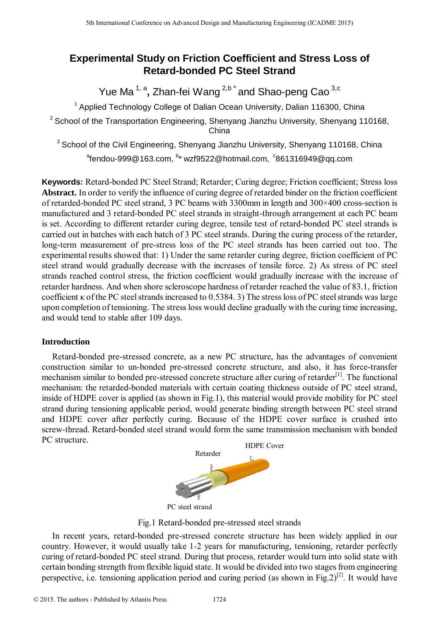# **Experimental Study on Friction Coefficient and Stress Loss of Retard-bonded PC Steel Strand**

Yue Ma <sup>1, a</sup>, Zhan-fei Wang <sup>2,b \*</sup> and Shao-peng Cao <sup>3,c</sup>

<sup>1</sup> Applied Technology College of Dalian Ocean University, Dalian 116300, China

 $2$  School of the Transportation Engineering, Shenyang Jianzhu University, Shenyang 110168, China

<sup>3</sup> School of the Civil Engineering, Shenyang Jianzhu University, Shenyang 110168, China  $^{\circ}$ fendou-999@163.com,  $^{\rm b}$ \* wzf9522@hotmail.com,  $\,^{\circ}$ 861316949@qq.com

**Keywords:** Retard-bonded PC Steel Strand; Retarder; Curing degree; Friction coefficient; Stress loss **Abstract.** In order to verify the influence of curing degree of retarded binder on the friction coefficient of retarded-bonded PC steel strand, 3 PC beams with 3300mm in length and 300×400 cross-section is manufactured and 3 retard-bonded PC steel strands in straight-through arrangement at each PC beam is set. According to different retarder curing degree, tensile test of retard-bonded PC steel strands is carried out in batches with each batch of 3 PC steel strands. During the curing process of the retarder, long-term measurement of pre-stress loss of the PC steel strands has been carried out too. The experimental results showed that: 1) Under the same retarder curing degree, friction coefficient of PC steel strand would gradually decrease with the increases of tensile force. 2) As stress of PC steel strands reached control stress, the friction coefficient would gradually increase with the increase of retarder hardness. And when shore scleroscope hardness of retarder reached the value of 83.1, friction coefficient  $\kappa$  of the PC steel strands increased to 0.5384. 3) The stress loss of PC steel strands was large upon completion of tensioning. The stress loss would decline gradually with the curing time increasing, and would tend to stable after 109 days. <sup>516</sup> Is the terminant Conference on Advanced Design and Manufacturing Engineering (ICADME 1747 Conference on Advanced PC Steel Strand<br>
<sup>5</sup>th Angle of Technology College of Design and Steel Strand<br>
<sup>7</sup>Applied Technology C

# **Introduction**

Retard-bonded pre-stressed concrete, as a new PC structure, has the advantages of convenient construction similar to un-bonded pre-stressed concrete structure, and also, it has force-transfer mechanism similar to bonded pre-stressed concrete structure after curing of retarder<sup>[1]</sup>. The functional mechanism: the retarded-bonded materials with certain coating thickness outside of PC steel strand, inside of HDPE cover is applied (as shown in Fig.1), this material would provide mobility for PC steel strand during tensioning applicable period, would generate binding strength between PC steel strand and HDPE cover after perfectly curing. Because of the HDPE cover surface is crushed into screw-thread. Retard-bonded steel strand would form the same transmission mechanism with bonded PC structure.



PC steel strand

Fig.1 Retard-bonded pre-stressed steel strands

In recent years, retard-bonded pre-stressed concrete structure has been widely applied in our country. However, it would usually take 1-2 years for manufacturing, tensioning, retarder perfectly curing of retard-bonded PC steel strand. During that process, retarder would turn into solid state with certain bonding strength from flexible liquid state. It would be divided into two stages from engineering perspective, i.e. tensioning application period and curing period (as shown in Fig.  $2^{2}$ ). It would have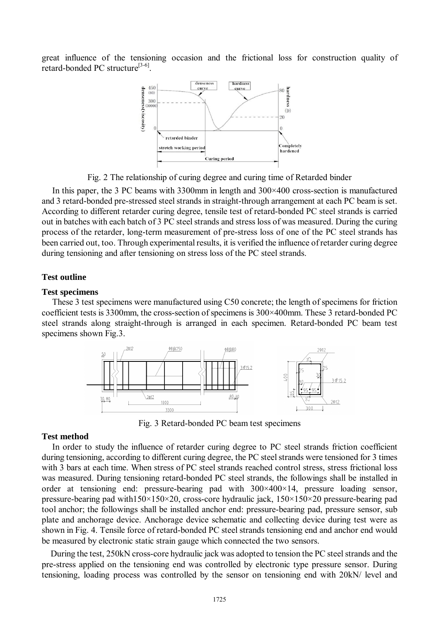great influence of the tensioning occasion and the frictional loss for construction quality of retard-bonded PC structure<sup>[3-6]</sup>.



Fig. 2 The relationship of curing degree and curing time of Retarded binder

In this paper, the 3 PC beams with  $3300$  mm in length and  $300 \times 400$  cross-section is manufactured and 3 retard-bonded pre-stressed steel strands in straight-through arrangement at each PC beam is set. According to different retarder curing degree, tensile test of retard-bonded PC steel strands is carried out in batches with each batch of 3 PC steel strands and stress loss of was measured. During the curing process of the retarder, long-term measurement of pre-stress loss of one of the PC steel strands has been carried out, too. Through experimental results, it is verified the influence of retarder curing degree during tensioning and after tensioning on stress loss of the PC steel strands.

#### **Test outline**

#### **Test specimens**

These 3 test specimens were manufactured using C50 concrete; the length of specimens for friction coefficient tests is 3300mm, the cross-section of specimens is  $300\times400$ mm. These 3 retard-bonded PC steel strands along straight-through is arranged in each specimen. Retard-bonded PC beam test specimens shown Fig.3.



Fig. 3 Retard-bonded PC beam test specimens

#### **Test method**

In order to study the influence of retarder curing degree to PC steel strands friction coefficient during tensioning, according to different curing degree, the PC steel strands were tensioned for 3 times with 3 bars at each time. When stress of PC steel strands reached control stress, stress frictional loss was measured. During tensioning retard-bonded PC steel strands, the followings shall be installed in order at tensioning end: pressure-bearing pad with 300×400×14, pressure loading sensor, pressure-bearing pad with150×150×20, cross-core hydraulic jack, 150×150×20 pressure-bearing pad tool anchor; the followings shall be installed anchor end: pressure-bearing pad, pressure sensor, sub plate and anchorage device. Anchorage device schematic and collecting device during test were as shown in Fig. 4. Tensile force of retard-bonded PC steel strands tensioning end and anchor end would be measured by electronic static strain gauge which connected the two sensors.

During the test, 250kN cross-core hydraulic jack was adopted to tension the PC steel strands and the pre-stress applied on the tensioning end was controlled by electronic type pressure sensor. During tensioning, loading process was controlled by the sensor on tensioning end with 20kN/ level and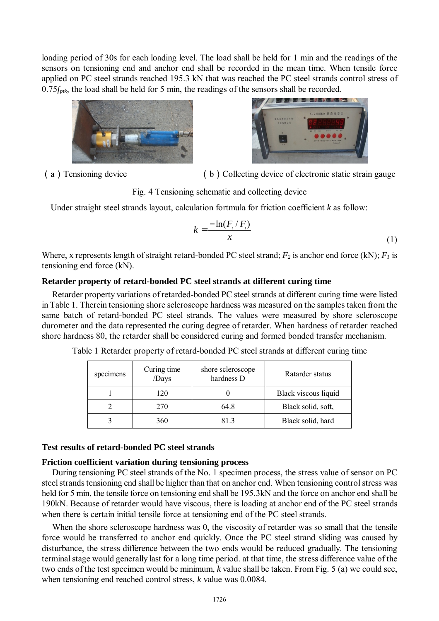loading period of 30s for each loading level. The load shall be held for 1 min and the readings of the sensors on tensioning end and anchor end shall be recorded in the mean time. When tensile force applied on PC steel strands reached 195.3 kN that was reached the PC steel strands control stress of 0.75*f<sub>ptk*</sub>, the load shall be held for 5 min, the readings of the sensors shall be recorded.





(a)Tensioning device (b)Collecting device of electronic static strain gauge

Fig. 4 Tensioning schematic and collecting device

Under straight steel strands layout, calculation fortmula for friction coefficient *k* as follow:

$$
k = \frac{-\ln(F_y/F_i)}{x} \tag{1}
$$

Where, x represents length of straight retard-bonded PC steel strand;  $F_2$  is anchor end force (kN);  $F_1$  is tensioning end force (kN).

# **Retarder property of retard-bonded PC steel strands at different curing time**

Retarder property variations of retarded-bonded PC steel strands at different curing time were listed in Table 1. Therein tensioning shore scleroscope hardness was measured on the samples taken from the same batch of retard-bonded PC steel strands. The values were measured by shore scleroscope durometer and the data represented the curing degree of retarder. When hardness of retarder reached shore hardness 80, the retarder shall be considered curing and formed bonded transfer mechanism.

| specimens | Curing time<br>/Days | shore scleroscope<br>hardness D | Ratarder status      |  |
|-----------|----------------------|---------------------------------|----------------------|--|
|           | 120                  |                                 | Black viscous liquid |  |
|           | 270                  | 64.8                            | Black solid, soft,   |  |
|           | 360                  | 813                             | Black solid, hard    |  |

Table 1 Retarder property of retard-bonded PC steel strands at different curing time

## **Test results of retard-bonded PC steel strands**

## **Friction coefficient variation during tensioning process**

During tensioning PC steel strands of the No. 1 specimen process, the stress value of sensor on PC steel strands tensioning end shall be higher than that on anchor end. When tensioning control stress was held for 5 min, the tensile force on tensioning end shall be 195.3kN and the force on anchor end shall be 190kN. Because of retarder would have viscous, there is loading at anchor end of the PC steel strands when there is certain initial tensile force at tensioning end of the PC steel strands.

When the shore scleroscope hardness was 0, the viscosity of retarder was so small that the tensile force would be transferred to anchor end quickly. Once the PC steel strand sliding was caused by disturbance, the stress difference between the two ends would be reduced gradually. The tensioning terminalstage would generally last for a long time period. at that time, the stress difference value of the two ends of the test specimen would be minimum, *k* value shall be taken. From Fig. 5 (a) we could see, when tensioning end reached control stress, *k* value was 0.0084.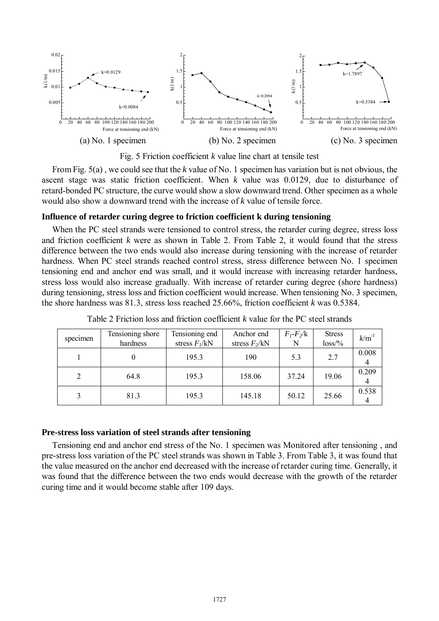

Fig. 5 Friction coefficient *k* value line chart at tensile test

From Fig. 5(a) , we could see that the *k* value of No. 1 specimen has variation but is not obvious, the ascent stage was static friction coefficient. When *k* value was 0.0129, due to disturbance of retard-bonded PC structure, the curve would show a slow downward trend. Other specimen as a whole would also show a downward trend with the increase of *k* value of tensile force.

### **Influence of retarder curing degree to friction coefficient k during tensioning**

When the PC steel strands were tensioned to control stress, the retarder curing degree, stress loss and friction coefficient *k* were as shown in Table 2. From Table 2, it would found that the stress difference between the two ends would also increase during tensioning with the increase of retarder hardness. When PC steel strands reached control stress, stress difference between No. 1 specimen tensioning end and anchor end was small, and it would increase with increasing retarder hardness, stress loss would also increase gradually. With increase of retarder curing degree (shore hardness) during tensioning, stress loss and friction coefficient would increase. When tensioning No. 3 specimen, the shore hardness was 81.3, stress loss reached 25.66%, friction coefficient *k* was 0.5384.

| specimen | Tensioning shore<br>hardness | Tensioning end<br>stress $F_l/kN$ | Anchor end<br>stress $F_2/kN$ | $F_1 - F_2/k$<br>N | <b>Stress</b><br>$loss\%$ | $k/m^{-1}$ |
|----------|------------------------------|-----------------------------------|-------------------------------|--------------------|---------------------------|------------|
|          |                              | 195.3                             | 190                           | 5.3                | 2.7                       | 0.008<br>4 |
| 2        | 64.8                         | 195.3                             | 158.06                        | 37.24              | 19.06                     | 0.209<br>4 |
| 3        | 81.3                         | 195.3                             | 145.18                        | 50.12              | 25.66                     | 0.538<br>4 |

Table 2 Friction loss and friction coefficient *k* value for the PC steel strands

# **Pre-stress loss variation of steel strands after tensioning**

Tensioning end and anchor end stress of the No. 1 specimen was Monitored after tensioning , and pre-stress loss variation of the PC steel strands was shown in Table 3. From Table 3, it was found that the value measured on the anchor end decreased with the increase of retarder curing time. Generally, it was found that the difference between the two ends would decrease with the growth of the retarder curing time and it would become stable after 109 days.